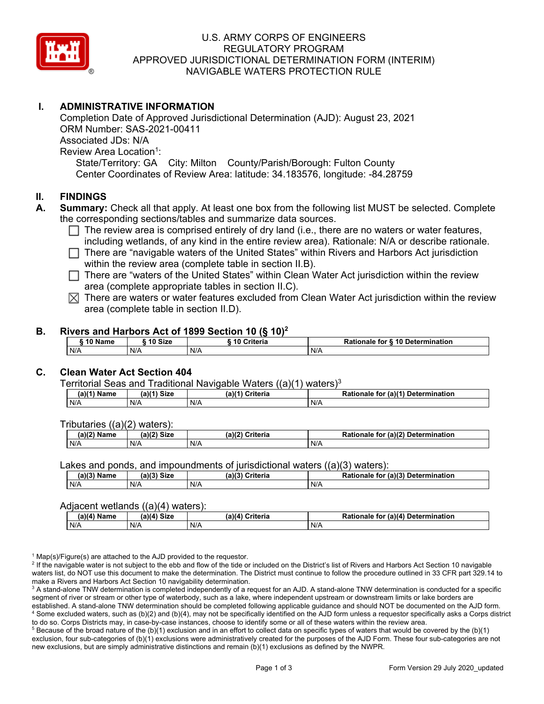

#### U.S. ARMY CORPS OF ENGINEERS REGULATORY PROGRAM APPROVED JURISDICTIONAL DETERMINATION FORM (INTERIM) NAVIGABLE WATERS PROTECTION RULE

### **I. ADMINISTRATIVE INFORMATION**

 State/Territory: GA City: Milton County/Parish/Borough: Fulton County Center Coordinates of Review Area: latitude: 34.183576, longitude: -84.28759 Completion Date of Approved Jurisdictional Determination (AJD): August 23, 2021 ORM Number: SAS-2021-00411 Associated JDs: N/A Review Area Location<sup>1</sup>:

#### **II. FINDINGS**

- **A. Summary:** Check all that apply. At least one box from the following list MUST be selected. Complete the corresponding sections/tables and summarize data sources.
	- $\Box$  The review area is comprised entirely of dry land (i.e., there are no waters or water features, including wetlands, of any kind in the entire review area). Detianals  $M/\sqrt{a}$  at describe rationals including wetlands, of any kind in the entire review area). Rationale: N/A or describe rationale.
	- □ There are "navigable waters of the United States" within Rivers and Harbors Act jurisdiction within the review area (complete table in section II.B).
	- □ There are "waters of the United States" within Clean Water Act jurisdiction within the review<br>
	area (complete appropriate tables in costion II G) area (complete appropriate tables in section II.C).
	- $\boxtimes$  There are waters or water features excluded from Clean Water Act jurisdiction within the review area (complete table in section II.D).

#### **B. Rivers and Harbors Act of 1899 Section 10 (§ 10)<sup>2</sup>**

| 10 Name | ີ <sup>4</sup> 0 Size | 10 Criteria | Rationale for § 10 Determination |
|---------|-----------------------|-------------|----------------------------------|
| N/A     | N/A                   | N/A         | N/A                              |

### **C. Clean Water Act Section 404**

Territorial Seas and Traditional Navigable Waters ((a)(1) waters)3

| (a)(1) <sup>∙</sup><br>Name | a)(1) Size | $\lambda$<br>$\cap$ riteria | (a)(1)<br><b>Determination</b><br>Rationale<br>tor |
|-----------------------------|------------|-----------------------------|----------------------------------------------------|
| N/A                         | N/A        | N/A                         | N/f                                                |

Tributaries ((a)(2) waters):

| (a)/2<br><b>Name</b> | $\sim$ 10 <sup>2</sup><br><b>Size</b><br> | (a)(2)<br>≎riteria | (a)(2) Determination<br>Datiane<br>tor<br>naie |
|----------------------|-------------------------------------------|--------------------|------------------------------------------------|
| N/A                  | N/A                                       | N/A                | N/A                                            |

Lakes and ponds, and impoundments of jurisdictional waters ((a)(3) waters):

| (a)(3) Name | (2)<br>Siz∈ | $(a)$ $(2)$<br>Criteria | (a)(3) Determination<br>Rationale<br>tor |
|-------------|-------------|-------------------------|------------------------------------------|
| N/A         | N/A         | N/A                     | N/A                                      |

#### Adjacent wetlands ((a)(4) waters):

|             | ----        | .                  |                                          |
|-------------|-------------|--------------------|------------------------------------------|
| (a)(4) Name | (a)(4) Size | (a)(4)<br>Criteria | (a)(4) Determination<br>Rationale<br>tor |
| N/A         | N/A         | N/A                | N/A                                      |

 $1$  Map(s)/Figure(s) are attached to the AJD provided to the requestor.

<sup>2</sup> If the navigable water is not subject to the ebb and flow of the tide or included on the District's list of Rivers and Harbors Act Section 10 navigable waters list, do NOT use this document to make the determination. The District must continue to follow the procedure outlined in 33 CFR part 329.14 to make a Rivers and Harbors Act Section 10 navigability determination.

 $^3$  A stand-alone TNW determination is completed independently of a request for an AJD. A stand-alone TNW determination is conducted for a specific segment of river or stream or other type of waterbody, such as a lake, where independent upstream or downstream limits or lake borders are established. A stand-alone TNW determination should be completed following applicable guidance and should NOT be documented on the AJD form. 4 Some excluded waters, such as (b)(2) and (b)(4), may not be specifically identified on the AJD form unless a requestor specifically asks a Corps district to do so. Corps Districts may, in case-by-case instances, choose to identify some or all of these waters within the review area.

 $^5$  Because of the broad nature of the (b)(1) exclusion and in an effort to collect data on specific types of waters that would be covered by the (b)(1) exclusion, four sub-categories of (b)(1) exclusions were administratively created for the purposes of the AJD Form. These four sub-categories are not new exclusions, but are simply administrative distinctions and remain (b)(1) exclusions as defined by the NWPR.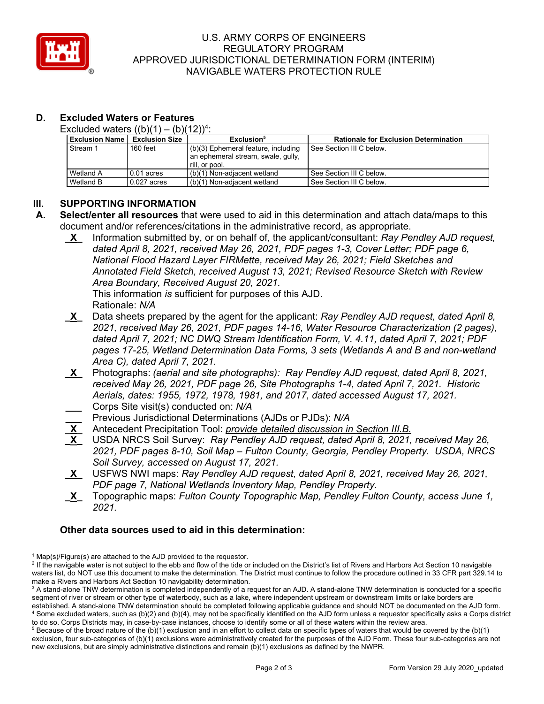

#### U.S. ARMY CORPS OF ENGINEERS REGULATORY PROGRAM APPROVED JURISDICTIONAL DETERMINATION FORM (INTERIM) NAVIGABLE WATERS PROTECTION RULE

# **D. Excluded Waters or Features**

Excluded waters  $((b)(1) - (b)(12))^4$ :

| <b>Exclusion Name</b> | <b>Exclusion Size</b> | Exclusion <sup>5</sup>              | <b>Rationale for Exclusion Determination</b> |
|-----------------------|-----------------------|-------------------------------------|----------------------------------------------|
| Stream 1              | $160$ feet            | (b)(3) Ephemeral feature, including | l See Section III C below.                   |
|                       |                       | an ephemeral stream, swale, gully,  |                                              |
|                       |                       | rill, or pool.                      |                                              |
| Wetland A             | $0.01$ acres          | (b)(1) Non-adiacent wetland         | See Section III C below.                     |
| Wetland B             | $0.027$ acres         | (b)(1) Non-adiacent wetland         | See Section III C below.                     |

## **III. SUPPORTING INFORMATION**

- **A. Select/enter all resources** that were used to aid in this determination and attach data/maps to this document and/or references/citations in the administrative record, as appropriate.
	- **\_X\_** Information submitted by, or on behalf of, the applicant/consultant: *Ray Pendley AJD request, dated April 8, 2021, received May 26, 2021, PDF pages 1-3, Cover Letter; PDF page 6, National Flood Hazard Layer FIRMette, received May 26, 2021; Field Sketches and Annotated Field Sketch, received August 13, 2021; Revised Resource Sketch with Review Area Boundary, Received August 20, 2021.*

 This information *is* sufficient for purposes of this AJD. Rationale: *N/A* 

- **\_X\_** Data sheets prepared by the agent for the applicant: *Ray Pendley AJD request, dated April 8, 2021, received May 26, 2021, PDF pages 14-16, Water Resource Characterization (2 pages), dated April 7, 2021; NC DWQ Stream Identification Form, V. 4.11, dated April 7, 2021; PDF pages 17-25, Wetland Determination Data Forms, 3 sets (Wetlands A and B and non-wetland Area C), dated April 7, 2021.*
- **\_X\_** Photographs: *(aerial and site photographs): Ray Pendley AJD request, dated April 8, 2021, received May 26, 2021, PDF page 26, Site Photographs 1-4, dated April 7, 2021. Historic Aerials, dates: 1955, 1972, 1978, 1981, and 2017, dated accessed August 17, 2021.*  **\_\_\_** Corps Site visit(s) conducted on: *N/A*
- **\_\_\_** Previous Jurisdictional Determinations (AJDs or PJDs): *N/A*
- **\_X\_** Antecedent Precipitation Tool: *provide detailed discussion in Section III.B.*
- *2021, PDF pages 8-10, Soil Map Fulton County, Georgia, Pendley Property. USDA, NRCS*  USDA NRCS Soil Survey: *Ray Pendley AJD request, dated April 8, 2021, received May 26, Soil Survey, accessed on August 17, 2021.*
- **\_X\_** USFWS NWI maps: *Ray Pendley AJD request, dated April 8, 2021, received May 26, 2021, PDF page 7, National Wetlands Inventory Map, Pendley Property.*
- **\_X\_** Topographic maps: *Fulton County Topographic Map, Pendley Fulton County, access June 1, 2021.*

### **Other data sources used to aid in this determination:**

 $1$  Map(s)/Figure(s) are attached to the AJD provided to the requestor.

<sup>&</sup>lt;sup>2</sup> If the navigable water is not subject to the ebb and flow of the tide or included on the District's list of Rivers and Harbors Act Section 10 navigable waters list, do NOT use this document to make the determination. The District must continue to follow the procedure outlined in 33 CFR part 329.14 to make a Rivers and Harbors Act Section 10 navigability determination.

<sup>&</sup>lt;sup>3</sup> A stand-alone TNW determination is completed independently of a request for an AJD. A stand-alone TNW determination is conducted for a specific segment of river or stream or other type of waterbody, such as a lake, where independent upstream or downstream limits or lake borders are established. A stand-alone TNW determination should be completed following applicable guidance and should NOT be documented on the AJD form. 4 Some excluded waters, such as (b)(2) and (b)(4), may not be specifically identified on the AJD form unless a requestor specifically asks a Corps district to do so. Corps Districts may, in case-by-case instances, choose to identify some or all of these waters within the review area.

 $5$  Because of the broad nature of the (b)(1) exclusion and in an effort to collect data on specific types of waters that would be covered by the (b)(1) exclusion, four sub-categories of (b)(1) exclusions were administratively created for the purposes of the AJD Form. These four sub-categories are not new exclusions, but are simply administrative distinctions and remain (b)(1) exclusions as defined by the NWPR.